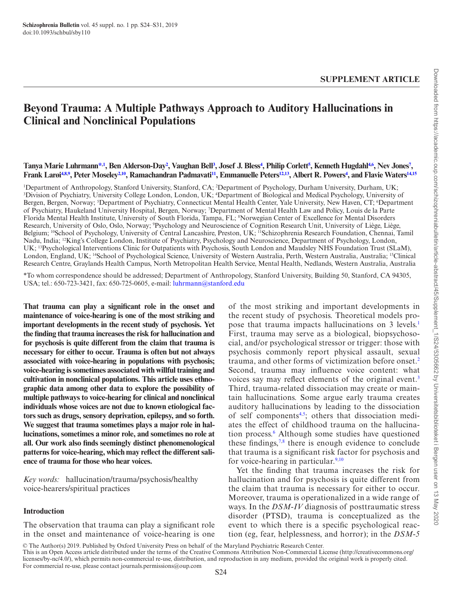# **Beyond Trauma: A Multiple Pathways Approach to Auditory Hallucinations in Clinical and Nonclinical Populations**

## Tanya Marie Luhrman[n\\*](#page-0-0)<sup>,[1](#page-0-1)</sup>, Ben Alderson-Day<sup>2</sup>, Vaughan Bell<sup>3</sup>, Josef J. Bless<sup>4</sup>, Philip Corlett<sup>5</sup>, Kenneth Hugdahl<sup>4[,6](#page-0-6)</sup>, Nev Jones<sup>7</sup>, Frank Larøi<sup>[4](#page-0-4)[,8](#page-0-8)[,9](#page-0-9)</sup>, Peter Moseley<sup>2,10</sup>, Ramachandran Padmavati<sup>[11](#page-0-11)</sup>, Emmanuelle Peters<sup>[12](#page-0-12),13</sup>, Albert R. Powers<sup>4</sup>, and Flavie Waters<sup>14,[15](#page-0-15)</sup>

<span id="page-0-9"></span><span id="page-0-8"></span><span id="page-0-7"></span><span id="page-0-5"></span><span id="page-0-4"></span><span id="page-0-3"></span><span id="page-0-2"></span><span id="page-0-1"></span><sup>1</sup>Department of Anthropology, Stanford University, Stanford, CA; <sup>2</sup>Department of Psychology, Durham University, Durham, UK; <sup>3</sup>Division of Psychology, University College London, London, UK; <sup>4</sup>Department of Biological an Division of Psychiatry, University College London, London, UK; 4 Department of Biological and Medical Psychology, University of Bergen, Bergen, Norway; <sup>5</sup>Department of Psychiatry, Connecticut Mental Health Center, Yale University, New Haven, CT; <sup>6</sup>Department of Psychiatry, Haukeland University Hospital, Bergen, Norway; 7 Department of Mental Health Law and Policy, Louis de la Parte Florida Mental Health Institute, University of South Florida, Tampa, FL; <sup>8</sup>Norwegian Center of Excellence for Mental Disorders Research, University of Oslo, Oslo, Norway; <sup>9</sup>Psychology and Neuroscience of Cognition Research Unit, University of Liège, Liège, Belgium; <sup>10</sup>School of Psychology, University of Central Lancashire, Preston, UK; <sup>11</sup>Schizophrenia Research Foundation, Chennai, Tamil Nadu, India; 12King's College London, Institute of Psychiatry, Psychology and Neuroscience, Department of Psychology, London, UK; 13Psychological Interventions Clinic for Outpatients with Psychosis, South London and Maudsley NHS Foundation Trust (SLaM), London, England, UK; 14School of Psychological Science, University of Western Australia, Perth, Western Australia, Australia; 15Clinical Research Centre, Graylands Health Campus, North Metropolitan Health Service, Mental Health, Nedlands, Western Australia, Australia

<span id="page-0-14"></span><span id="page-0-13"></span><span id="page-0-12"></span><span id="page-0-11"></span><span id="page-0-10"></span><span id="page-0-0"></span>\*To whom correspondence should be addressed; Department of Anthropology, Stanford University, Building 50, Stanford, CA 94305, USA; tel.: 650-723-3421, fax: 650-725-0605, e-mail: [luhrmann@stanford.edu](mailto:luhrmann@stanford.edu?subject=)

**That trauma can play a significant role in the onset and maintenance of voice-hearing is one of the most striking and important developments in the recent study of psychosis. Yet the finding that trauma increases the risk for hallucination and for psychosis is quite different from the claim that trauma is necessary for either to occur. Trauma is often but not always associated with voice-hearing in populations with psychosis; voice-hearing is sometimes associated with willful training and cultivation in nonclinical populations. This article uses ethnographic data among other data to explore the possibility of multiple pathways to voice-hearing for clinical and nonclinical individuals whose voices are not due to known etiological factors such as drugs, sensory deprivation, epilepsy, and so forth. We suggest that trauma sometimes plays a major role in hallucinations, sometimes a minor role, and sometimes no role at all. Our work also finds seemingly distinct phenomenological patterns for voice-hearing, which may reflect the different salience of trauma for those who hear voices.**

*Key words:* hallucination/trauma/psychosis/healthy voice-hearers/spiritual practices

### **Introduction**

The observation that trauma can play a significant role in the onset and maintenance of voice-hearing is one <span id="page-0-15"></span><span id="page-0-6"></span>of the most striking and important developments in the recent study of psychosis. Theoretical models pro-pose that trauma impacts hallucinations on 3 levels.<sup>[1](#page-5-0)</sup> First, trauma may serve as a biological, biopsychosocial, and/or psychological stressor or trigger: those with psychosis commonly report physical assault, sexual trauma, and other forms of victimization before onset.[2](#page-5-1) Second, trauma may influence voice content: what voices say may reflect elements of the original event.<sup>[3](#page-5-2)</sup> Third, trauma-related dissociation may create or maintain hallucinations. Some argue early trauma creates auditory hallucinations by leading to the dissociation of self components<sup>[4](#page-5-3),[5](#page-5-4)</sup>; others that dissociation mediates the effect of childhood trauma on the hallucination process.<sup>6</sup> Although some studies have questioned these findings, $7.8$  $7.8$  $7.8$  there is enough evidence to conclude that trauma is a significant risk factor for psychosis and for voice-hearing in particular. $9,10$  $9,10$ 

Yet the finding that trauma increases the risk for hallucination and for psychosis is quite different from the claim that trauma is necessary for either to occur. Moreover, trauma is operationalized in a wide range of ways. In the *DSM-IV* diagnosis of posttraumatic stress disorder (PTSD), trauma is conceptualized as the event to which there is a specific psychological reaction (eg, fear, helplessness, and horror); in the *DSM-5*

© The Author(s) 2019. Published by Oxford University Press on behalf of the Maryland Psychiatric Research Center.

This is an Open Access article distributed under the terms of the Creative Commons Attribution Non-Commercial License (http://creativecommons.org/ licenses/by-nc/4.0/), which permits non-commercial re-use, distribution, and reproduction in any medium, provided the original work is properly cited. For commercial re-use, please contact journals.permissions@oup.com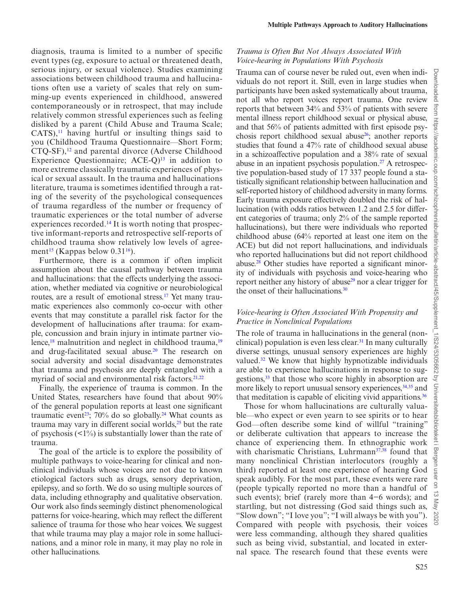diagnosis, trauma is limited to a number of specific event types (eg, exposure to actual or threatened death, serious injury, or sexual violence). Studies examining associations between childhood trauma and hallucinations often use a variety of scales that rely on summing-up events experienced in childhood, answered contemporaneously or in retrospect, that may include relatively common stressful experiences such as feeling disliked by a parent (Child Abuse and Trauma Scale;  $CATS$ ,<sup>11</sup> having hurtful or insulting things said to you (Childhood Trauma Questionnaire—Short Form; CTQ-SF),<sup>[12](#page-5-11)</sup> and parental divorce (Adverse Childhood Experience Questionnaire;  $ACE-Q$ <sup>13</sup> in addition to more extreme classically traumatic experiences of physical or sexual assault. In the trauma and hallucinations literature, trauma is sometimes identified through a rating of the severity of the psychological consequences of trauma regardless of the number or frequency of traumatic experiences or the total number of adverse experiences recorded.<sup>14</sup> It is worth noting that prospective informant-reports and retrospective self-reports of childhood trauma show relatively low levels of agreement<sup>15</sup> (Kappas below  $0.31^{16}$ ).

Furthermore, there is a common if often implicit assumption about the causal pathway between trauma and hallucinations: that the effects underlying the association, whether mediated via cognitive or neurobiological routes, are a result of emotional stress.<sup>17</sup> Yet many traumatic experiences also commonly co-occur with other events that may constitute a parallel risk factor for the development of hallucinations after trauma: for example, concussion and brain injury in intimate partner violence, $18$  malnutrition and neglect in childhood trauma, $19$ and drug-facilitated sexual abuse. $20$  The research on social adversity and social disadvantage demonstrates that trauma and psychosis are deeply entangled with a myriad of social and environmental risk factors. $21,22$  $21,22$ 

Finally, the experience of trauma is common. In the United States, researchers have found that about 90% of the general population reports at least one significant traumatic event<sup>23</sup>; 70% do so globally.<sup>24</sup> What counts as trauma may vary in different social worlds, $25$  but the rate of psychosis  $(1\%)$  is substantially lower than the rate of trauma.

The goal of the article is to explore the possibility of multiple pathways to voice-hearing for clinical and nonclinical individuals whose voices are not due to known etiological factors such as drugs, sensory deprivation, epilepsy, and so forth. We do so using multiple sources of data, including ethnography and qualitative observation. Our work also finds seemingly distinct phenomenological patterns for voice-hearing, which may reflect the different salience of trauma for those who hear voices. We suggest that while trauma may play a major role in some hallucinations, and a minor role in many, it may play no role in other hallucinations.

# *Trauma is Often But Not Always Associated With Voice-hearing in Populations With Psychosis*

Trauma can of course never be ruled out, even when individuals do not report it. Still, even in large studies when participants have been asked systematically about trauma, not all who report voices report trauma. One review reports that between 34% and 53% of patients with severe mental illness report childhood sexual or physical abuse, and that 56% of patients admitted with first episode psychosis report childhood sexual abuse<sup>26</sup>; another reports studies that found a 47% rate of childhood sexual abuse in a schizoaffective population and a 38% rate of sexual abuse in an inpatient psychosis population.<sup>27</sup> A retrospective population-based study of 17 337 people found a statistically significant relationship between hallucination and self-reported history of childhood adversity in many forms. Early trauma exposure effectively doubled the risk of hallucination (with odds ratios between 1.2 and 2.5 for different categories of trauma; only 2% of the sample reported hallucinations), but there were individuals who reported childhood abuse (64% reported at least one item on the ACE) but did not report hallucinations, and individuals who reported hallucinations but did not report childhood abuse[.28](#page-6-13) Other studies have reported a significant minority of individuals with psychosis and voice-hearing who report neither any history of abuse<sup>29</sup> nor a clear trigger for the onset of their hallucinations.<sup>30</sup>

# *Voice-hearing is Often Associated With Propensity and Practice in Nonclinical Populations*

The role of trauma in hallucinations in the general (nonclinical) population is even less clear.<sup>31</sup> In many culturally diverse settings, unusual sensory experiences are highly valued.<sup>32</sup> We know that highly hypnotizable individuals are able to experience hallucinations in response to suggestions[,33](#page-6-18) that those who score highly in absorption are more likely to report unusual sensory experiences,  $34,35$  $34,35$  and that meditation is capable of eliciting vivid apparitions.<sup>[36](#page-6-21)</sup>

Those for whom hallucinations are culturally valuable—who expect or even yearn to see spirits or to hear God—often describe some kind of willful "training" or deliberate cultivation that appears to increase the chance of experiencing them. In ethnographic work with charismatic Christians, Luhrmann $37,38$  $37,38$  $37,38$  found that many nonclinical Christian interlocutors (roughly a third) reported at least one experience of hearing God speak audibly. For the most part, these events were rare (people typically reported no more than a handful of such events); brief (rarely more than 4–6 words); and startling, but not distressing (God said things such as, "Slow down"; "I love you"; "I will always be with you"). Compared with people with psychosis, their voices were less commanding, although they shared qualities such as being vivid, substantial, and located in external space. The research found that these events were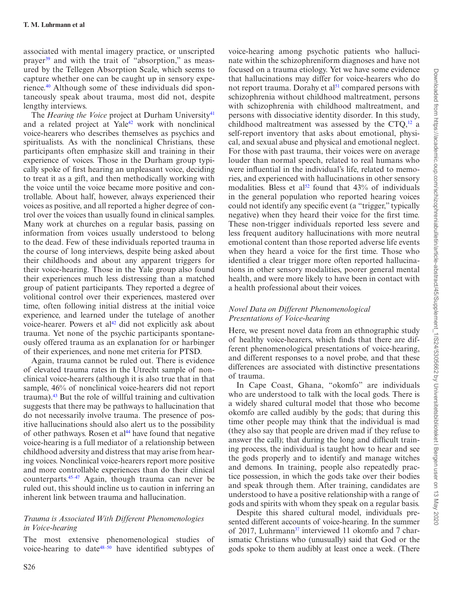associated with mental imagery practice, or unscripted prayer<sup>[39](#page-6-24)</sup> and with the trait of "absorption," as measured by the Tellegen Absorption Scale, which seems to capture whether one can be caught up in sensory experience[.40](#page-6-25) Although some of these individuals did spontaneously speak about trauma, most did not, despite lengthy interviews.

The *Hearing the Voice* project at Durham University<sup>[41](#page-6-26)</sup> and a related project at Yale<sup>42</sup> work with nonclinical voice-hearers who describes themselves as psychics and spiritualists. As with the nonclinical Christians, these participants often emphasize skill and training in their experience of voices. Those in the Durham group typically spoke of first hearing an unpleasant voice, deciding to treat it as a gift, and then methodically working with the voice until the voice became more positive and controllable. About half, however, always experienced their voices as positive, and all reported a higher degree of control over the voices than usually found in clinical samples. Many work at churches on a regular basis, passing on information from voices usually understood to belong to the dead. Few of these individuals reported trauma in the course of long interviews, despite being asked about their childhoods and about any apparent triggers for their voice-hearing. Those in the Yale group also found their experiences much less distressing than a matched group of patient participants. They reported a degree of volitional control over their experiences, mastered over time, often following initial distress at the initial voice experience, and learned under the tutelage of another voice-hearer. Powers et al<sup>42</sup> did not explicitly ask about trauma. Yet none of the psychic participants spontaneously offered trauma as an explanation for or harbinger of their experiences, and none met criteria for PTSD.

Again, trauma cannot be ruled out. There is evidence of elevated trauma rates in the Utrecht sample of nonclinical voice-hearers (although it is also true that in that sample, 46% of nonclinical voice-hearers did not report trauma).[43](#page-6-28) But the role of willful training and cultivation suggests that there may be pathways to hallucination that do not necessarily involve trauma. The presence of positive hallucinations should also alert us to the possibility of other pathways. Rosen et al<sup>44</sup> have found that negative voice-hearing is a full mediator of a relationship between childhood adversity and distress that may arise from hearing voices. Nonclinical voice-hearers report more positive and more controllable experiences than do their clinical counterparts.[45–47](#page-6-30) Again, though trauma can never be ruled out, this should incline us to caution in inferring an inherent link between trauma and hallucination.

# *Trauma is Associated With Different Phenomenologies in Voice-hearing*

The most extensive phenomenological studies of voice-hearing to date[48–50](#page-6-31) have identified subtypes of voice-hearing among psychotic patients who hallucinate within the schizophreniform diagnoses and have not focused on a trauma etiology. Yet we have some evidence that hallucinations may differ for voice-hearers who do not report trauma. Dorahy et al<sup>51</sup> compared persons with schizophrenia without childhood maltreatment, persons with schizophrenia with childhood maltreatment, and persons with dissociative identity disorder. In this study, childhood maltreatment was assessed by the  $CTQ<sub>12</sub>$  a self-report inventory that asks about emotional, physical, and sexual abuse and physical and emotional neglect. For those with past trauma, their voices were on average louder than normal speech, related to real humans who were influential in the individual's life, related to memories, and experienced with hallucinations in other sensory modalities. Bless et al<sup>52</sup> found that  $43\%$  of individuals in the general population who reported hearing voices could not identify any specific event (a "trigger," typically negative) when they heard their voice for the first time. These non-trigger individuals reported less severe and less frequent auditory hallucinations with more neutral emotional content than those reported adverse life events when they heard a voice for the first time. Those who identified a clear trigger more often reported hallucinations in other sensory modalities, poorer general mental health, and were more likely to have been in contact with a health professional about their voices.

# *Novel Data on Different Phenomenological Presentations of Voice-hearing*

Here, we present novel data from an ethnographic study of healthy voice-hearers, which finds that there are different phenomenological presentations of voice-hearing, and different responses to a novel probe, and that these differences are associated with distinctive presentations of trauma.

In Cape Coast, Ghana, "okomfo" are individuals who are understood to talk with the local gods. There is a widely shared cultural model that those who become okomfo are called audibly by the gods; that during this time other people may think that the individual is mad (they also say that people are driven mad if they refuse to answer the call); that during the long and difficult training process, the individual is taught how to hear and see the gods properly and to identify and manage witches and demons. In training, people also repeatedly practice possession, in which the gods take over their bodies and speak through them. After training, candidates are understood to have a positive relationship with a range of gods and spirits with whom they speak on a regular basis.

Despite this shared cultural model, individuals presented different accounts of voice-hearing. In the summer of 2017, Luhrmann<sup>37</sup> interviewed 11 okomfo and 7 charismatic Christians who (unusually) said that God or the gods spoke to them audibly at least once a week. (There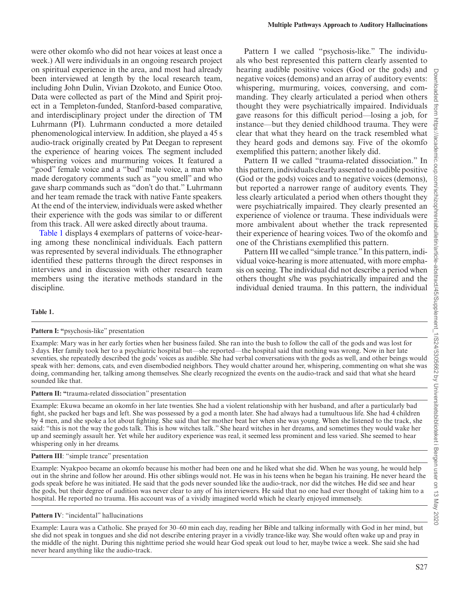were other okomfo who did not hear voices at least once a week.) All were individuals in an ongoing research project on spiritual experience in the area, and most had already been interviewed at length by the local research team, including John Dulin, Vivian Dzokoto, and Eunice Otoo. Data were collected as part of the Mind and Spirit project in a Templeton-funded, Stanford-based comparative, and interdisciplinary project under the direction of TM Luhrmann (PI). Luhrmann conducted a more detailed phenomenological interview. In addition, she played a 45 s audio-track originally created by Pat Deegan to represent the experience of hearing voices. The segment included whispering voices and murmuring voices. It featured a "good" female voice and a "bad" male voice, a man who made derogatory comments such as "you smell" and who gave sharp commands such as "don't do that." Luhrmann and her team remade the track with native Fante speakers. At the end of the interview, individuals were asked whether their experience with the gods was similar to or different from this track. All were asked directly about trauma.

[Table 1](#page-3-0) displays 4 exemplars of patterns of voice-hearing among these nonclinical individuals. Each pattern was represented by several individuals. The ethnographer identified these patterns through the direct responses in interviews and in discussion with other research team members using the iterative methods standard in the discipline.

Pattern I we called "psychosis-like." The individuals who best represented this pattern clearly assented to hearing audible positive voices (God or the gods) and negative voices (demons) and an array of auditory events: whispering, murmuring, voices, conversing, and commanding. They clearly articulated a period when others thought they were psychiatrically impaired. Individuals gave reasons for this difficult period—losing a job, for instance—but they denied childhood trauma. They were clear that what they heard on the track resembled what they heard gods and demons say. Five of the okomfo exemplified this pattern; another likely did.

Pattern II we called "trauma-related dissociation." In this pattern, individuals clearly assented to audible positive (God or the gods) voices and to negative voices (demons), but reported a narrower range of auditory events. They less clearly articulated a period when others thought they were psychiatrically impaired. They clearly presented an experience of violence or trauma. These individuals were more ambivalent about whether the track represented their experience of hearing voices. Two of the okomfo and one of the Christians exemplified this pattern.

Pattern III we called "simple trance." In this pattern, individual voice-hearing is more attenuated, with more emphasis on seeing. The individual did not describe a period when others thought s/he was psychiatrically impaired and the individual denied trauma. In this pattern, the individual

#### <span id="page-3-0"></span>**Table 1.**

#### **Pattern I: "**psychosis-like" presentation

Example: Mary was in her early forties when her business failed. She ran into the bush to follow the call of the gods and was lost for 3 days. Her family took her to a psychiatric hospital but—she reported—the hospital said that nothing was wrong. Now in her late seventies, she repeatedly described the gods' voices as audible. She had verbal conversations with the gods as well, and other beings would speak with her: demons, cats, and even disembodied neighbors. They would chatter around her, whispering, commenting on what she was doing, commanding her, talking among themselves. She clearly recognized the events on the audio-track and said that what she heard sounded like that.

#### Pattern II: "trauma-related dissociation" presentation

Example: Ekuwa became an okomfo in her late twenties. She had a violent relationship with her husband, and after a particularly bad fight, she packed her bags and left. She was possessed by a god a month later. She had always had a tumultuous life. She had 4 children by 4 men, and she spoke a lot about fighting. She said that her mother beat her when she was young. When she listened to the track, she said: "this is not the way the gods talk. This is how witches talk." She heard witches in her dreams, and sometimes they would wake her up and seemingly assault her. Yet while her auditory experience was real, it seemed less prominent and less varied. She seemed to hear whispering only in her dreams.

#### Pattern III: "simple trance" presentation

Example: Nyakpoo became an okomfo because his mother had been one and he liked what she did. When he was young, he would help out in the shrine and follow her around. His other siblings would not. He was in his teens when he began his training. He never heard the gods speak before he was initiated. He said that the gods never sounded like the audio-track, nor did the witches. He did see and hear the gods, but their degree of audition was never clear to any of his interviewers. He said that no one had ever thought of taking him to a hospital. He reported no trauma. His account was of a vividly imagined world which he clearly enjoyed immensely.

#### **Pattern IV**: "incidental" hallucinations

Example: Laura was a Catholic. She prayed for 30–60 min each day, reading her Bible and talking informally with God in her mind, but she did not speak in tongues and she did not describe entering prayer in a vividly trance-like way. She would often wake up and pray in the middle of the night. During this nighttime period she would hear God speak out loud to her, maybe twice a week. She said she had never heard anything like the audio-track.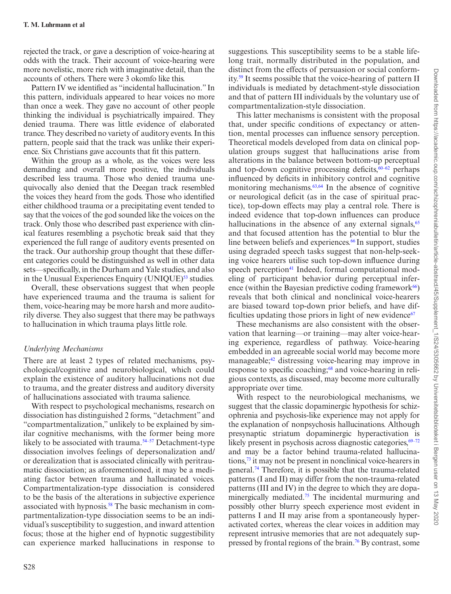rejected the track, or gave a description of voice-hearing at odds with the track. Their account of voice-hearing were more novelistic, more rich with imaginative detail, than the accounts of others. There were 3 okomfo like this.

Pattern IV we identified as "incidental hallucination." In this pattern, individuals appeared to hear voices no more than once a week. They gave no account of other people thinking the individual is psychiatrically impaired. They denied trauma. There was little evidence of elaborated trance. They described no variety of auditory events. In this pattern, people said that the track was unlike their experience. Six Christians gave accounts that fit this pattern.

Within the group as a whole, as the voices were less demanding and overall more positive, the individuals described less trauma. Those who denied trauma unequivocally also denied that the Deegan track resembled the voices they heard from the gods. Those who identified either childhood trauma or a precipitating event tended to say that the voices of the god sounded like the voices on the track. Only those who described past experience with clinical features resembling a psychotic break said that they experienced the full range of auditory events presented on the track. Our authorship group thought that these different categories could be distinguished as well in other data sets—specifically, in the Durham and Yale studies, and also in the Unusual Experiences Enquiry (UNIQUE)<sup>53</sup> studies.

Overall, these observations suggest that when people have experienced trauma and the trauma is salient for them, voice-hearing may be more harsh and more auditorily diverse. They also suggest that there may be pathways to hallucination in which trauma plays little role.

## *Underlying Mechanisms*

There are at least 2 types of related mechanisms, psychological/cognitive and neurobiological, which could explain the existence of auditory hallucinations not due to trauma, and the greater distress and auditory diversity of hallucinations associated with trauma salience.

With respect to psychological mechanisms, research on dissociation has distinguished 2 forms, "detachment" and "compartmentalization," unlikely to be explained by similar cognitive mechanisms, with the former being more likely to be associated with trauma. $54-57$  Detachment-type dissociation involves feelings of depersonalization and/ or derealization that is associated clinically with peritraumatic dissociation; as aforementioned, it may be a mediating factor between trauma and hallucinated voices. Compartmentalization-type dissociation is considered to be the basis of the alterations in subjective experience associated with hypnosis.<sup>58</sup> The basic mechanism in compartmentalization-type dissociation seems to be an individual's susceptibility to suggestion, and inward attention focus; those at the higher end of hypnotic suggestibility can experience marked hallucinations in response to

suggestions. This susceptibility seems to be a stable lifelong trait, normally distributed in the population, and distinct from the effects of persuasion or social conformity.<sup>59</sup> It seems possible that the voice-hearing of pattern II individuals is mediated by detachment-style dissociation and that of pattern III individuals by the voluntary use of compartmentalization-style dissociation.

This latter mechanisms is consistent with the proposal that, under specific conditions of expectancy or attention, mental processes can influence sensory perception. Theoretical models developed from data on clinical population groups suggest that hallucinations arise from alterations in the balance between bottom-up perceptual and top-down cognitive processing deficits, $60-62$  perhaps influenced by deficits in inhibitory control and cognitive monitoring mechanisms.<sup>63,[64](#page-7-6)</sup> In the absence of cognitive or neurological deficit (as in the case of spiritual practice), top-down effects may play a central role. There is indeed evidence that top-down influences can produce hallucinations in the absence of any external signals, $65$ and that focused attention has the potential to blur the line between beliefs and experiences.<sup>66</sup> In support, studies using degraded speech tasks suggest that non-help-seeking voice hearers utilise such top-down influence during speech perception<sup>[41](#page-6-26)</sup> Indeed, formal computational modeling of participant behavior during perceptual inference (within the Bayesian predictive coding framework $66$ ) reveals that both clinical and nonclinical voice-hearers are biased toward top-down prior beliefs, and have difficulties updating those priors in light of new evidence $67$ 

These mechanisms are also consistent with the observation that learning—or training—may alter voice-hearing experience, regardless of pathway. Voice-hearing embedded in an agreeable social world may become more manageable;<sup>42</sup> distressing voice-hearing may improve in response to specific coaching;<sup>68</sup> and voice-hearing in religious contexts, as discussed, may become more culturally appropriate over time.

With respect to the neurobiological mechanisms, we suggest that the classic dopaminergic hypothesis for schizophrenia and psychosis-like experience may not apply for the explanation of nonpsychosis hallucinations. Although presynaptic striatum dopaminergic hyperactivation is likely present in psychosis across diagnostic categories, $69-72$ and may be a factor behind trauma-related hallucinations,[73](#page-7-12) it may not be present in nonclinical voice-hearers in general[.74](#page-7-13) Therefore, it is possible that the trauma-related patterns (I and II) may differ from the non-trauma-related patterns (III and IV) in the degree to which they are dopaminergically mediated.<sup>75</sup> The incidental murmuring and possibly other blurry speech experience most evident in patterns I and II may arise from a spontaneously hyperactivated cortex, whereas the clear voices in addition may represent intrusive memories that are not adequately suppressed by frontal regions of the brain.<sup>76</sup> By contrast, some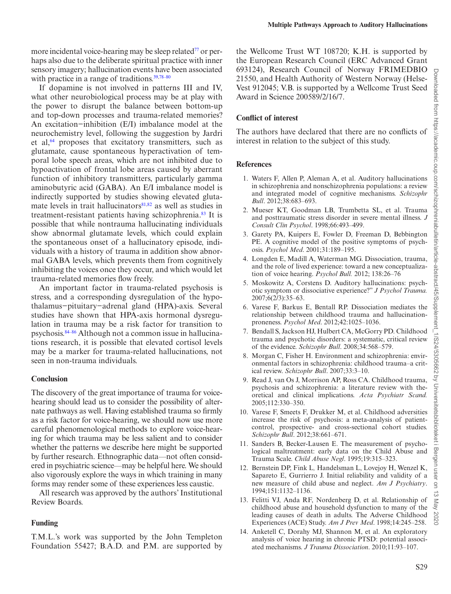more incidental voice-hearing may be sleep related<sup>77</sup> or perhaps also due to the deliberate spiritual practice with inner sensory imagery; hallucination events have been associated with practice in a range of traditions.<sup>39,78-80</sup>

If dopamine is not involved in patterns III and IV, what other neurobiological process may be at play with the power to disrupt the balance between bottom-up and top-down processes and trauma-related memories? An excitation−inhibition (E/I) imbalance model at the neurochemistry level, following the suggestion by Jardri et al, $^{64}$  proposes that excitatory transmitters, such as glutamate, cause spontaneous hyperactivation of temporal lobe speech areas, which are not inhibited due to hypoactivation of frontal lobe areas caused by aberrant function of inhibitory transmitters, particularly gamma aminobutyric acid (GABA). An E/I imbalance model is indirectly supported by studies showing elevated glutamate levels in trait hallucinators $81,82$  $81,82$  as well as studies in treatment-resistant patients having schizophrenia.<sup>83</sup> It is possible that while nontrauma hallucinating individuals show abnormal glutamate levels, which could explain the spontaneous onset of a hallucinatory episode, individuals with a history of trauma in addition show abnormal GABA levels, which prevents them from cognitively inhibiting the voices once they occur, and which would let trauma-related memories flow freely.

An important factor in trauma-related psychosis is stress, and a corresponding dysregulation of the hypothalamus−pituitary−adrenal gland (HPA)-axis. Several studies have shown that HPA-axis hormonal dysregulation in trauma may be a risk factor for transition to psychosis[.84–86](#page-7-21) Although not a common issue in hallucinations research, it is possible that elevated cortisol levels may be a marker for trauma-related hallucinations, not seen in non-trauma individuals.

## **Conclusion**

The discovery of the great importance of trauma for voicehearing should lead us to consider the possibility of alternate pathways as well. Having established trauma so firmly as a risk factor for voice-hearing, we should now use more careful phenomenological methods to explore voice-hearing for which trauma may be less salient and to consider whether the patterns we describe here might be supported by further research. Ethnographic data—not often considered in psychiatric science—may be helpful here. We should also vigorously explore the ways in which training in many forms may render some of these experiences less caustic.

All research was approved by the authors' Institutional Review Boards.

## **Funding**

T.M.L.'s work was supported by the John Templeton Foundation 55427; B.A.D. and P.M. are supported by the Wellcome Trust WT 108720; K.H. is supported by the European Research Council (ERC Advanced Grant 693124), Research Council of Norway FRIMEDBIO 21550, and Health Authority of Western Norway (Helse-Vest 912045; V.B. is supported by a Wellcome Trust Seed Award in Science 200589/2/16/7.

# **Conflict of interest**

The authors have declared that there are no conflicts of interest in relation to the subject of this study.

## **References**

- <span id="page-5-0"></span>1. Waters F, Allen P, Aleman A, et al. Auditory hallucinations in schizophrenia and nonschizophrenia populations: a review and integrated model of cognitive mechanisms. *Schizophr Bull*. 2012;38:683–693.
- <span id="page-5-1"></span>2. Mueser KT, Goodman LB, Trumbetta SL, et al. Trauma and posttraumatic stress disorder in severe mental illness. *J Consult Clin Psychol*. 1998;66:493–499.
- <span id="page-5-2"></span>3. Garety PA, Kuipers E, Fowler D, Freeman D, Bebbington PE. A cognitive model of the positive symptoms of psychosis. *Psychol Med*. 2001;31:189–195.
- <span id="page-5-3"></span>4. Longden E, Madill A, Waterman MG. Dissociation, trauma, and the role of lived experience: toward a new conceptualization of voice hearing. *Psychol Bull.* 2012; 138:26–76
- <span id="page-5-4"></span>5. Moskowitz A, Corstens D. Auditory hallucinations: psychotic symptom or dissociative experience?" *J Psychol Trauma.* 2007;6(2/3):35–63.
- <span id="page-5-5"></span>6. Varese F, Barkus E, Bentall RP. Dissociation mediates the relationship between childhood trauma and hallucinationproneness. *Psychol Med*. 2012;42:1025–1036.
- <span id="page-5-6"></span>7. Bendall S, Jackson HJ, Hulbert CA, McGorry PD. Childhood trauma and psychotic disorders: a systematic, critical review of the evidence. *Schizophr Bull*. 2008;34:568–579.
- <span id="page-5-7"></span>8. Morgan C, Fisher H. Environment and schizophrenia: environmental factors in schizophrenia: childhood trauma–a critical review. *Schizophr Bull*. 2007;33:3–10.
- <span id="page-5-8"></span>9. Read J, van Os J, Morrison AP, Ross CA. Childhood trauma, psychosis and schizophrenia: a literature review with theoretical and clinical implications. *Acta Psychiatr Scand.* 2005;112:330–350.
- <span id="page-5-9"></span>10. Varese F, Smeets F, Drukker M, et al. Childhood adversities increase the risk of psychosis: a meta-analysis of patientcontrol, prospective- and cross-sectional cohort studies. *Schizophr Bull*. 2012;38:661–671.
- <span id="page-5-10"></span>11. Sanders B, Becker-Lausen E. The measurement of psychological maltreatment: early data on the Child Abuse and Trauma Scale. *Child Abuse Negl*. 1995;19:315–323.
- <span id="page-5-11"></span>12. Bernstein DP, Fink L*,* Handelsman L, Lovejoy H, Wenzel K, Sapareto E, Gurrierro J. Initial reliability and validity of a new measure of child abuse and neglect. *Am J Psychiatry*. 1994;151:1132–1136.
- <span id="page-5-12"></span>13. Felitti VJ, Anda RF, Nordenberg D, et al. Relationship of childhood abuse and household dysfunction to many of the leading causes of death in adults. The Adverse Childhood Experiences (ACE) Study. *Am J Prev Med*. 1998;14:245–258.
- <span id="page-5-13"></span>14. Anketell C, Dorahy MJ, Shannon M, et al. An exploratory analysis of voice hearing in chronic PTSD: potential associated mechanisms. *J Trauma Dissociation*. 2010;11:93–107.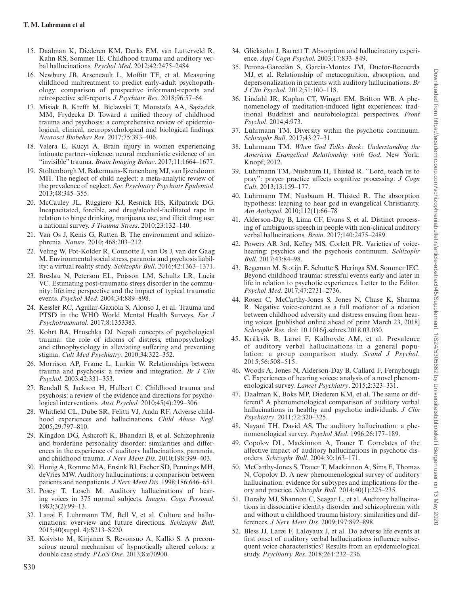- <span id="page-6-0"></span>15. Daalman K, Diederen KM, Derks EM, van Lutterveld R, Kahn RS, Sommer IE. Childhood trauma and auditory verbal hallucinations. *Psychol Med*. 2012;42:2475–2484.
- <span id="page-6-1"></span>16. Newbury JB, Arseneault L, Moffitt TE, et al. Measuring childhood maltreatment to predict early-adult psychopathology: comparison of prospective informant-reports and retrospective self-reports. *J Psychiatr Res*. 2018;96:57–64.
- <span id="page-6-2"></span>17. Misiak B, Krefft M, Bielawski T, Moustafa AA, Sąsiadek MM, Frydecka D. Toward a unified theory of childhood trauma and psychosis: a comprehensive review of epidemiological, clinical, neuropsychological and biological findings. *Neurosci Biobehav Rev*. 2017;75:393–406.
- <span id="page-6-3"></span>18. Valera E, Kucyi A. Brain injury in women experiencing intimate partner-violence: neural mechanistic evidence of an "invisible" trauma. *Brain Imaging Behav*. 2017;11:1664–1677.
- <span id="page-6-4"></span>19. Stoltenborgh M, Bakermans-Kranenburg MJ, van Ijzendoorn MH. The neglect of child neglect: a meta-analytic review of the prevalence of neglect. *Soc Psychiatry Psychiatr Epidemiol*. 2013;48:345–355.
- <span id="page-6-5"></span>20. McCauley JL, Ruggiero KJ, Resnick HS, Kilpatrick DG. Incapacitated, forcible, and drug/alcohol-facilitated rape in relation to binge drinking, marijuana use, and illicit drug use: a national survey. *J Trauma Stress*. 2010;23:132–140.
- <span id="page-6-6"></span>21. Van Os J, Kenis G, Rutten B. The environment and schizophrenia. *Nature*. 2010; 468:203–212.
- <span id="page-6-7"></span>22. Veling W, Pot-Kolder R, Counotte J, van Os J, van der Gaag M. Environmental social stress, paranoia and psychosis liability: a virtual reality study. *Schizophr Bull*. 2016;42:1363–1371.
- <span id="page-6-8"></span>23. Breslau N, Peterson EL, Poisson LM, Schultz LR, Lucia VC. Estimating post-traumatic stress disorder in the community: lifetime perspective and the impact of typical traumatic events. *Psychol Med*. 2004;34:889–898.
- <span id="page-6-9"></span>24. Kessler RC, Aguilar-Gaxiola S, Alonso J, et al. Trauma and PTSD in the WHO World Mental Health Surveys. *Eur J Psychotraumatol*. 2017;8:1353383.
- <span id="page-6-10"></span>25. Kohrt BA, Hruschka DJ. Nepali concepts of psychological trauma: the role of idioms of distress, ethnopsychology and ethnophysiology in alleviating suffering and preventing stigma. *Cult Med Psychiatry*. 2010;34:322–352.
- <span id="page-6-11"></span>26. Morrison AP, Frame L, Larkin W. Relationships between trauma and psychosis: a review and integration. *Br J Clin Psychol*. 2003;42:331–353.
- <span id="page-6-12"></span>27. Bendall S, Jackson H, Hulbert C. Childhood trauma and psychosis: a review of the evidence and directions for psychological interventions. *Aust Psychol.* 2010;45(4):299–306.
- <span id="page-6-13"></span>28. Whitfield CL, Dube SR, Felitti VJ, Anda RF. Adverse childhood experiences and hallucinations. *Child Abuse Negl*. 2005;29:797–810.
- <span id="page-6-14"></span>29. Kingdon DG, Ashcroft K, Bhandari B, et al. Schizophrenia and borderline personality disorder: similarities and differences in the experience of auditory hallucinations, paranoia, and childhood trauma. *J Nerv Ment Dis*. 2010;198:399–403.
- <span id="page-6-15"></span>30. Honig A, Romme MA, Ensink BJ, Escher SD, Pennings MH, deVries MW. Auditory hallucinations: a comparison between patients and nonpatients. *J Nerv Ment Dis*. 1998;186:646–651.
- <span id="page-6-16"></span>31. Posey T, Losch M. Auditory hallucinations of hearing voices in 375 normal subjects. *Imagin, Cogn Personal.* 1983;3(2):99–13.
- <span id="page-6-17"></span>32. Larøi F, Luhrmann TM, Bell V, et al. Culture and hallucinations: overview and future directions. *Schizophr Bull.* 2015;40(suppl. 4):S213–S220.
- <span id="page-6-18"></span>33. Koivisto M, Kirjanen S, Revonsuo A, Kallio S. A preconscious neural mechanism of hypnotically altered colors: a double case study. *PLoS One*. 2013;8:e70900.
- <span id="page-6-19"></span>34. Glicksohn J, Barrett T. Absorption and hallucinatory experience. *Appl Cogn Psychol.* 2003;17:833–849.
- <span id="page-6-20"></span>35. Perona-Garcelán S, García-Montes JM, Ductor-Recuerda MJ, et al. Relationship of metacognition, absorption, and depersonalization in patients with auditory hallucinations. *Br J Clin Psychol*. 2012;51:100–118.
- <span id="page-6-21"></span>36. Lindahl JR, Kaplan CT, Winget EM, Britton WB. A phenomenology of meditation-induced light experiences: traditional Buddhist and neurobiological perspectives. *Front Psychol*. 2014;4:973.
- <span id="page-6-22"></span>37. Luhrmann TM. Diversity within the psychotic continuum. *Schizophr Bull*. 2017;43:27–31.
- <span id="page-6-23"></span>38. Luhrmann TM. *When God Talks Back: Understanding the American Evangelical Relationship with God*. New York: Knopf; 2012.
- <span id="page-6-24"></span>39. Luhrmann TM, Nusbaum H, Thisted R. "Lord, teach us to pray": prayer practice affects cognitive processing. *J Cogn Cult.* 2013;13:159–177.
- <span id="page-6-25"></span>40. Luhrmann TM, Nusbaum H, Thisted R. The absorption hypothesis: learning to hear god in evangelical Christianity. *Am Anthrpol.* 2010;112(1):66–78
- <span id="page-6-26"></span>41. Alderson-Day B, Lima CF, Evans S, et al. Distinct processing of ambiguous speech in people with non-clinical auditory verbal hallucinations. *Brain*. 2017;140:2475–2489.
- <span id="page-6-27"></span>42. Powers AR 3rd, Kelley MS, Corlett PR. Varieties of voicehearing: psychics and the psychosis continuum. *Schizophr Bull*. 2017;43:84–98.
- <span id="page-6-28"></span>43. Begeman M, Stotijn E, Schutte S, Heringa SM, Sommer IEC. Beyond childhood trauma: stressful events early and later in life in relation to psychotic experiences. Letter to the Editor. *Psychol Med.* 2017;47:2731–2736.
- <span id="page-6-29"></span>44. Rosen C, McCarthy-Jones S, Jones N, Chase K, Sharma R. Negative voice-content as a full mediator of a relation between childhood adversity and distress ensuing from hearing voices. [published online ahead of print March 23, 2018] *Schizophr Res.* doi: 10.1016/j.schres.2018.03.030.
- <span id="page-6-30"></span>45. Kråkvik B, Larøi F, Kalhovde AM, et al. Prevalence of auditory verbal hallucinations in a general population: a group comparison study. *Scand J Psychol*. 2015;56:508–515.
- 46. Woods A, Jones N, Alderson-Day B, Callard F, Fernyhough C. Experiences of hearing voices: analysis of a novel phenomenological survey. *Lancet Psychiatry*. 2015;2:323–331.
- 47. Daalman K, Boks MP, Diederen KM, et al. The same or different? A phenomenological comparison of auditory verbal hallucinations in healthy and psychotic individuals. *J Clin Psychiatry*. 2011;72:320–325.
- <span id="page-6-31"></span>48. Nayani TH, David AS. The auditory hallucination: a phenomenological survey. *Psychol Med*. 1996;26:177–189.
- 49. Copolov DL, Mackinnon A, Trauer T. Correlates of the affective impact of auditory hallucinations in psychotic disorders. *Schizophr Bull*. 2004;30:163–171.
- 50. McCarthy-Jones S, Trauer T, Mackinnon A, Sims E, Thomas N, Copolov D. A new phenomenological survey of auditory hallucination: evidence for subtypes and implications for theory and practice. *Schizophr Bull.* 2014;40(1):225–235.
- <span id="page-6-32"></span>51. Dorahy MJ, Shannon C, Seagar L, et al. Auditory hallucinations in dissociative identity disorder and schizophrenia with and without a childhood trauma history: similarities and differences. *J Nerv Ment Dis*. 2009;197:892–898.
- <span id="page-6-33"></span>52. Bless JJ, Larøi F, Laloyaux J, et al. Do adverse life events at first onset of auditory verbal hallucinations influence subsequent voice characteristics? Results from an epidemiological study. *Psychiatry Res*. 2018;261:232–236.